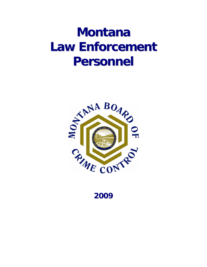# **Montana Law Enforcement Personnel**



**2009**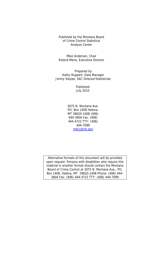Published by the Montana Board of Crime Control Statistical Analysis Center

Mike Anderson, Chair Roland Mena, Executive Director

Prepared by Kathy Ruppert, Data Manager Jimmy Steyee, SAC Director/Statistician

> Published: July 2010

3075 N. Montana Ave. PO. Box 1408 Helena, MT 59620-1408 (406) 444-3604 Fax: (406) 444-4722 TTY: (406) 444-7099 mbcc@mt.gov

Alternative formats of this document will be provided upon request. Persons with disabilities who require this material in another format should contact the Montana Board of Crime Control at 3075 N. Montana Ave., PO. Box 1408, Helena, MT 59620-1408 Phone: (406) 444- 3604 Fax: (406) 444-4722 TTY: (406) 444-7099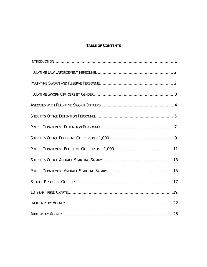# **TABLE OF CONTENTS**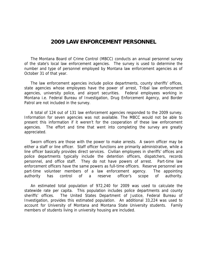# **2009 LAW ENFORCEMENT PERSONNEL**

 The Montana Board of Crime Control (MBCC) conducts an annual personnel survey of the state's local law enforcement agencies. The survey is used to determine the number and type of personnel employed by Montana law enforcement agencies as of October 31 of that year.

 The law enforcement agencies include police departments, county sheriffs' offices, state agencies whose employees have the power of arrest, Tribal law enforcement agencies, university police, and airport securities. Federal employees working in Montana i.e. Federal Bureau of Investigation, Drug Enforcement Agency, and Border Patrol are not included in the survey.

 A total of 124 out of 131 law enforcement agencies responded to the 2009 survey. Information for seven agencies was not available. The MBCC would not be able to present this information if it weren't for the cooperation of these law enforcement agencies. The effort and time that went into completing the survey are greatly appreciated.

 Sworn officers are those with the power to make arrests. A sworn officer may be either a staff or line officer. Staff officer functions are primarily administrative, while a line officer basically provides direct services. Civilian employees in sheriffs' offices and police departments typically include the detention officers, dispatchers, records personnel, and office staff. They do not have powers of arrest. Part-time law enforcement officers have the same powers as full-time officers. Reserve personnel are part-time volunteer members of a law enforcement agency. The appointing authority has control of a reserve officer's scope of authority.

 An estimated total population of 972,240 for 2009 was used to calculate the statewide rate per capita. This population includes police departments and county sheriffs' offices. The United States Department of Justice, Federal Bureau of Investigation, provides this estimated population. An additional 33,224 was used to account for University of Montana and Montana State University students. Family members of students living in university housing are included.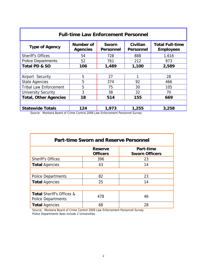| <b>Full-time Law Enforcement Personnel</b> |                                     |                                  |                              |                                            |  |  |  |
|--------------------------------------------|-------------------------------------|----------------------------------|------------------------------|--------------------------------------------|--|--|--|
| <b>Type of Agency</b>                      | <b>Number of</b><br><b>Agencies</b> | <b>Sworn</b><br><b>Personnel</b> | Civilian<br><b>Personnel</b> | <b>Total Full-time</b><br><b>Employees</b> |  |  |  |
| <b>Sheriff's Offices</b>                   | 54                                  | 728                              | 888                          | 1,616                                      |  |  |  |
| <b>Police Departments</b>                  | 52                                  | 761                              | 212                          | 973                                        |  |  |  |
| Total PD & SO                              | 106                                 | 1,489                            | 1,100                        | 2,589                                      |  |  |  |
|                                            |                                     |                                  |                              |                                            |  |  |  |
| Airport Security                           | 5                                   | 27                               | 1                            | 28                                         |  |  |  |
| <b>State Agencies</b>                      | 5                                   | 374                              | 92                           | 466                                        |  |  |  |
| <b>Tribal Law Enforcement</b>              | 5                                   | 75                               | 30                           | 105                                        |  |  |  |
| <b>University Security</b>                 | 3                                   | 38                               | 32                           | 70                                         |  |  |  |
| <b>Total, Other Agencies</b>               | 18                                  | 514                              | 155                          | 669                                        |  |  |  |
|                                            |                                     |                                  |                              |                                            |  |  |  |
| <b>Statewide Totals</b>                    | 124                                 | 1,973                            | 1,255                        | 3,258                                      |  |  |  |

| <b>Part-time Sworn and Reserve Personnel</b>                      |                                   |                                    |  |  |  |  |
|-------------------------------------------------------------------|-----------------------------------|------------------------------------|--|--|--|--|
|                                                                   | <b>Reserve</b><br><b>Officers</b> | Part-time<br><b>Sworn Officers</b> |  |  |  |  |
| <b>Sheriff's Offices</b>                                          | 396                               | 23                                 |  |  |  |  |
| <b>Total Agencies</b>                                             | 43                                | 14                                 |  |  |  |  |
|                                                                   |                                   |                                    |  |  |  |  |
| <b>Police Departments</b>                                         | 82                                | 23                                 |  |  |  |  |
| <b>Total Agencies</b>                                             | 25                                | 14                                 |  |  |  |  |
|                                                                   |                                   |                                    |  |  |  |  |
| <b>Total Sheriff's Offices &amp;</b><br><b>Police Departments</b> | 478                               | 46                                 |  |  |  |  |
| <b>Total Agencies</b>                                             | 68                                | 28                                 |  |  |  |  |

 Source: Montana Board of Crime Control 2009 Law Enforcement Personnel Survey Police Departments does include 2 Universities.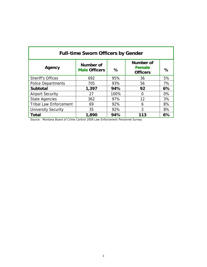| <b>Full-time Sworn Officers by Gender</b> |                                   |      |                                                      |    |  |  |  |
|-------------------------------------------|-----------------------------------|------|------------------------------------------------------|----|--|--|--|
| Agency                                    | Number of<br><b>Male Officers</b> | %    | <b>Number of</b><br><b>Female</b><br><b>Officers</b> | %  |  |  |  |
| <b>Sheriff's Offices</b>                  | 692                               | 95%  | 36                                                   | 5% |  |  |  |
| <b>Police Departments</b>                 | 705                               | 93%  | 56                                                   | 7% |  |  |  |
| <b>Subtotal</b>                           | 1,397                             | 94%  | 92                                                   | 6% |  |  |  |
| <b>Airport Security</b>                   | 27                                | 100% | 0                                                    | 0% |  |  |  |
| <b>State Agencies</b>                     | 362                               | 97%  | 12                                                   | 3% |  |  |  |
| <b>Tribal Law Enforcement</b>             | 69                                | 92%  | 6                                                    | 8% |  |  |  |
| <b>University Security</b>                | 35                                | 92%  | 3                                                    | 8% |  |  |  |
| Total                                     | 1,890                             | 94%  | 113                                                  | 6% |  |  |  |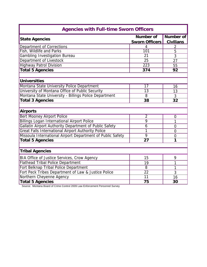| <b>Agencies with Full-time Sworn Officers</b>              |                       |                  |  |  |
|------------------------------------------------------------|-----------------------|------------------|--|--|
| <b>State Agencies</b>                                      | <b>Number of</b>      | Number of        |  |  |
|                                                            | <b>Sworn Officers</b> | <b>Civilians</b> |  |  |
| Department of Corrections                                  | 4                     | 2                |  |  |
| Fish, Wildlife and Parks                                   | $\overline{101}$      | 5                |  |  |
| <b>Gambling Investigation Bureau</b>                       | $\overline{21}$       | $\overline{3}$   |  |  |
| Department of Livestock                                    | 25                    | 27               |  |  |
| <b>Highway Patrol Division</b>                             | 223                   | 55               |  |  |
| <b>Total 5 Agencies</b>                                    | 374                   | 92               |  |  |
|                                                            |                       |                  |  |  |
| Universities                                               |                       |                  |  |  |
| Montana State University Police Department                 | 17                    | 16               |  |  |
| University of Montana Office of Public Security            | 13                    | 13               |  |  |
| Montana State University - Billings Police Department      | 8                     | 3                |  |  |
| <b>Total 3 Agencies</b>                                    | 38                    | 32               |  |  |
|                                                            |                       |                  |  |  |
| <b>Airports</b>                                            |                       |                  |  |  |
| Bert Mooney Airport Police                                 | $\overline{2}$        | $\overline{0}$   |  |  |
| <b>Billings Logan International Airport Police</b>         | 9                     | 1                |  |  |
| Gallatin Airport Authority Department of Public Safety     | 6                     | $\overline{0}$   |  |  |
| <b>Great Falls International Airport Authority Police</b>  | 1                     | $\overline{0}$   |  |  |
| Missoula International Airport Department of Public Safety | $\overline{9}$        | $\overline{0}$   |  |  |
| <b>Total 5 Agencies</b>                                    | 27                    | 1                |  |  |
|                                                            |                       |                  |  |  |
| <b>Tribal Agencies</b>                                     |                       |                  |  |  |
| BIA Office of Justice Services, Crow Agency                | 15                    | 9                |  |  |
| <b>Flathead Tribal Police Department</b>                   | 19                    | 1                |  |  |
| Fort Belknap Tribal Police Department                      | 8                     | 1                |  |  |
| Fort Peck Tribes Department of Law & Justice Police        | 22                    | 3                |  |  |
| Northern Cheyenne Agency                                   | 11                    | 16               |  |  |
| <b>Total 5 Agencies</b>                                    | 75                    | 30               |  |  |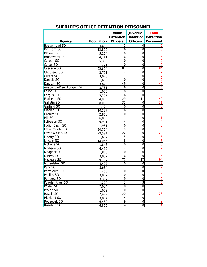|                         |            | <b>Adult</b>    | Juvenile            | <b>Total</b>            |
|-------------------------|------------|-----------------|---------------------|-------------------------|
|                         |            |                 | Detention Detention | <b>Detention</b>        |
| Agency                  | Population | <b>Officers</b> | <b>Officers</b>     | <b>Personnel</b>        |
| Beaverhead SO           | 4,682      | 5               | 0                   | 5                       |
| Big Horn SO             | 12,856     | 6               | 0                   | 6                       |
| <b>Blaine SO</b>        | 5,174      | 0               | 0                   | $\overline{0}$          |
| Broadwater SO           | 4,741      | 6               | 0                   | $\overline{6}$          |
| Carbon SO               | 5,360      | 0               | 0                   | $\overline{0}$          |
| Carter SO               | 1,221      | $\overline{0}$  | $\overline{0}$      | $\overline{0}$          |
| Cascade SO              | 22,694     | 84              | $\overline{0}$      | 84                      |
| Chouteau SO             | 3,701      | $\overline{2}$  | $\overline{0}$      | $\overline{\mathbf{c}}$ |
| Custer SO               | 3,026      | 7               | $\mathbf 0$         | 7                       |
| Daniels SO              | 1,606      | 0               | $\mathbf 0$         | $\overline{0}$          |
| Dawson SO               | 3,873      | 49              | 0                   | 49                      |
| Anaconda-Deer Lodge LEA | 8,781      | 6               | 0                   | $\overline{6}$          |
| Fallon SO               | 1,076      | 8               | 0                   | 8                       |
| Fergus SO               | 5,202      | $\overline{6}$  | $\overline{0}$      | $\overline{6}$          |
| Flathead SO             | 54,058     | 29              | 11                  | 40                      |
| Gallatin SO             | 38,005     | 31              | $\mathbf 0$         | 31                      |
| Garfield SO             | 1,174      | 0               | 0                   | $\pmb{0}$               |
| Glacier SO              | 10,197     | 6               | $\mathbf 0$         | 6                       |
| Granite SO              | 2,818      | 0               | 0                   | $\mathbf 0$             |
| Hill SO                 | 6,855      | 11              | 0                   | $\overline{11}$         |
| Jefferson SO            | 9,931      | 4               | $\mathbf 0$         | $\overline{4}$          |
| Judith Basin SO         | 1,981      | $\overline{0}$  | $\overline{0}$      | $\overline{0}$          |
| Lake County SO          | 20,714     | $\overline{18}$ | $\overline{0}$      | 18                      |
| Lewis & Clark SO        | 29,594     | $\overline{22}$ | $\overline{0}$      | $\overline{22}$         |
| <b>Liberty SO</b>       | 1,682      | 5               | $\overline{0}$      | 5                       |
| Lincoln SO              | 14,055     | 8               | $\overline{0}$      | 8                       |
| McCone SO               | 1,646      | $\mathbf 0$     | 0                   | $\frac{0}{2}$           |
| Madison SO              | 6,499      | $\overline{2}$  | 0                   |                         |
| Meagher SO              | 1,860      | 0               | $\mathbf 0$         |                         |
| Mineral SO              | 3,857      | $\overline{6}$  | $\overline{0}$      | $\overline{6}$          |
| Missoula SO             | 39,107     | 77              | 17                  | 94                      |
| Musselshell SO          | 4,497      | 0               | $\mathbf 0$         | $\overline{0}$          |
| Park SO                 | 8,684      | 7               | $\overline{0}$      | 7                       |
| Petroleum SO            | 430        | $\mathbf 0$     | $\mathbf 0$         | $\overline{0}$          |
| Phillips SO             | 3,837      | $\mathbf 0$     | $\mathbf 0$         | $\overline{0}$          |
| Pondera SO              | 3,317      | 9               | 0                   | 9                       |
| Powder River SO         | 1,220      | 3               | 3                   | <u><sub>6</sub></u>     |
| Powell SO               | 7,024      | 0               | $\boldsymbol{0}$    | $\overline{0}$          |
| Prairie SO              | 1,052      | $\mathbf 0$     | 0                   | $\overline{0}$          |
| Ravalli SO              | 32,479     | 20              | $\overline{8}$      | 28                      |
| Richland SO             | 3,804      | 4               | $\mathbf 0$         | $\overline{4}$          |
| Roosevelt SO            | 6,439      | 9               | $\mathbf 0$         | 9                       |
| Rosebud SO              | 6,819      | $\overline{4}$  | $\mathbf 0$         | $\overline{4}$          |

# **SHERIFF'S OFFICE DETENTION PERSONNEL**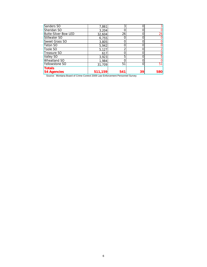| Sanders SO                  | 7,861   |     |    | 3              |
|-----------------------------|---------|-----|----|----------------|
| Sheridan SO                 | 3,204   |     |    | 0              |
| <b>Butte-Silver Bow LED</b> | 32,604  | 26  |    | 26             |
| Stillwater SO               | 6,755   |     |    | $\overline{0}$ |
| <b>Sweet Grass SO</b>       | 3,805   |     |    | 0              |
| Teton SO                    | 5,942   |     |    | 0              |
| Toole SO                    | 5,127   |     |    |                |
| Treasure SO                 | 617     |     |    | 0              |
| Valley SO                   | 3,923   |     |    | 5 <sup>1</sup> |
| Wheatland SO                | 1,984   |     |    | 0              |
| Yellowstone SO              | 31,709  | 51  | 0  | 51             |
| <b>Totals</b>               |         |     |    |                |
| <b>54 Agencies</b>          | 511,159 | 541 | 39 | <b>580</b>     |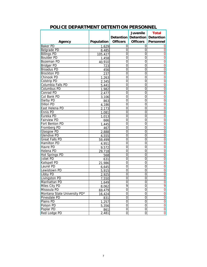|                              |                   |                 | <b>Juvenile</b>  | <b>Total</b>                  |
|------------------------------|-------------------|-----------------|------------------|-------------------------------|
|                              |                   |                 |                  | Detention Detention Detention |
| Agency                       | <b>Population</b> | <b>Officers</b> | <b>Officers</b>  | <b>Personnel</b>              |
| <b>Baker PD</b>              | 1,629             | 0               | 0                |                               |
| Belgrade PD                  | 8,485             | $\overline{0}$  | $\Omega$         | $\overline{0}$                |
| <b>Billings PD</b>           | 105,427           | $\overline{0}$  | $\overline{0}$   | $\overline{0}$                |
| <b>Boulder PD</b>            | 1,458             | 0               | 0                | 0                             |
| Bozeman PD                   | 40,910            | 0               | 0                | $\overline{0}$                |
| <b>Bridger PD</b>            | 723               | 0               | 0                | $\overline{0}$                |
| <b>Broadus PD</b>            | 456               | 0               | 0                | $\overline{0}$                |
| <b>Brockton PD</b>           | 237               | 0               | 0                | $\overline{0}$                |
| Chinook PD                   | 1,263             | $\overline{0}$  | $\overline{0}$   | $\overline{0}$                |
| Colstrip PD                  | 2,345             | $\mathbf 0$     | $\overline{0}$   | $\overline{0}$                |
| Columbia Falls PD            | 5,441             | $\overline{0}$  | $\overline{0}$   | $\overline{0}$                |
| Columbus PD                  | 1,982             | $\overline{0}$  | 0                | $\overline{0}$                |
| Conrad PD                    | 2,477             | $\overline{0}$  | $\overline{0}$   | $\overline{0}$                |
| <b>Cut Bank PD</b>           | 3,106             | $\overline{0}$  | $\overline{0}$   | $\overline{0}$                |
| Darby PD                     | 863               | 0               | 0                | $\overline{0}$                |
| Dillon PD                    | 4,186             | $\mathbf 0$     | 0                | $\overline{0}$                |
| East Helena PD               | 2,173             | $\mathbf 0$     | $\overline{0}$   | $\overline{0}$                |
| Ennis PD                     | 1,081             | 0               | 0                | 0                             |
| Eureka PD                    | 1,013             | 0               | 0                | $\overline{0}$                |
| <b>Fairview PD</b>           | 666               | $\overline{0}$  | $\overline{0}$   | $\overline{0}$                |
| Fort Benton PD               | 1,445             | $\mathbf 0$     | 0                | $\overline{0}$                |
| Fromberg PD                  | 467               | $\overline{0}$  | $\overline{0}$   | $\overline{0}$                |
| Glasgow PD                   | 2,888             | $\mathbf 0$     | $\overline{0}$   | $\overline{0}$                |
| <b>Glendive PD</b>           | 4,555             | $\overline{0}$  | 0                | 0                             |
| <b>Great Falls PD</b>        | 59,499            | $\overline{0}$  | $\overline{0}$   | 0                             |
| Hamilton PD                  | 4,951             | $\mathbf 0$     | $\overline{0}$   | $\overline{0}$                |
| Havre PD                     | 9,572             | $\overline{0}$  | 0                | 0                             |
| <b>Helena PD</b>             | 29,718            | $\overline{0}$  | $\overline{0}$   | $\overline{0}$                |
| Hot Springs PD               | 568               | 0               | 0                | $\overline{0}$                |
| Joliet PD                    | 631               | 0               | 0                |                               |
| Kalispell PD                 | 21,986            | 0               | 0                | $\frac{0}{0}$                 |
| Laurel PD                    | 6,645             | 0               | 0                | $\overline{0}$                |
| Lewistown PD                 | 5,915             | 0               | 0                | $\overline{0}$                |
| Libby PD                     | 2,925             | $\overline{0}$  | $\overline{0}$   | $\overline{0}$                |
| Livingston PD                | 7,550             | $\mathbf 0$     | $\mathbf 0$      | $\overline{0}$                |
| Manhattan PD                 | 1,649             | $\overline{0}$  | $\overline{0}$   |                               |
| Miles City PD                | 8,062             | 9               | $\mathbf 0$      | 9                             |
| Missoula PD                  | 69,479            | 0               | 0                | $\overline{0}$                |
| Montana State University PD* | 16,424            | $\overline{0}$  | $\overline{0}$   | $\overline{0}$                |
| Pinesdale PD                 | 831               | 0               | $\mathbf 0$      | $\overline{0}$                |
| Plains PD                    | 1,257             | 0               | $\mathbf 0$      | $\frac{0}{0}$                 |
| Polson PD                    | 5,356             | 0               | $\overline{0}$   |                               |
| Poplar PD                    | 861               | 0               | $\boldsymbol{0}$ | $\overline{0}$                |
| Red Lodge PD                 | 2,481             | 0               | 0                | $\overline{0}$                |

# **POLICE DEPARTMENT DETENTION PERSONNEL**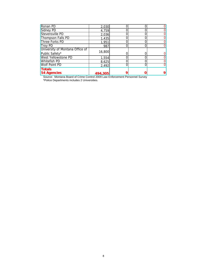| Ronan PD                        | 2,030   |  |  |
|---------------------------------|---------|--|--|
| Sidney PD                       | 4,759   |  |  |
| Stevensville PD                 | 2,036   |  |  |
| Thompson Falls PD               | 1,435   |  |  |
| Three Forks PD                  | 1,951   |  |  |
| <b>Troy PD</b>                  | 987     |  |  |
| University of Montana Office of |         |  |  |
| Public Safety*                  | 16,800  |  |  |
| <b>West Yellowstone PD</b>      | 1,554   |  |  |
| <b>Whitefish PD</b>             | 8,625   |  |  |
| <b>Wolf Point PD</b>            | 2,492   |  |  |
| <b>Totals</b>                   |         |  |  |
| <b>54 Agencies</b>              | 494,305 |  |  |

 Source: Montana Board of Crime Control 2009 Law Enforcement Personnel Survey \*Police Departments includes 2 Universities.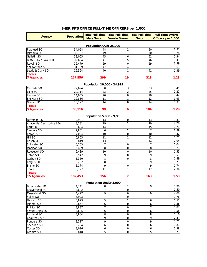#### **SHERIFF'S OFFICE FULL-TIME OFFICERS per 1,000**

| <b>Agency</b>                       | <b>Population</b> |                               | Total Full-time   Total Full-time   Total Full-time |                      | <b>Full-time Sworn</b> |  |  |
|-------------------------------------|-------------------|-------------------------------|-----------------------------------------------------|----------------------|------------------------|--|--|
|                                     |                   | <b>Male Sworn</b>             | <b>Female Sworn</b>                                 | <b>Sworn</b>         | Officers per 1,000     |  |  |
|                                     |                   |                               |                                                     |                      |                        |  |  |
|                                     |                   | Population Over 25,000<br>48  |                                                     |                      |                        |  |  |
| Flathead SO                         | 54,058<br>39,107  | 49                            | 2                                                   | 50                   | 0.92<br>1.28           |  |  |
| Missoula SO                         |                   |                               | 1                                                   | 50                   |                        |  |  |
| Gallatin SO                         | 38,005            | 45                            | 6                                                   | 51                   | 1.34                   |  |  |
| <b>Butte-Silver Bow LED</b>         | 32,604            | 41<br>29                      | 5<br>0                                              | 46<br>29             | 1.41                   |  |  |
| Ravalli SO                          | 32,479            |                               |                                                     |                      | 0.89                   |  |  |
| Yellowstone SO                      | 31,709            | 47                            | 4                                                   | 51                   | 1.61                   |  |  |
| Lewis & Clark SO                    | 29,594            | 40                            | 1                                                   | 41                   | 1.39                   |  |  |
| <b>Totals</b>                       |                   |                               |                                                     |                      |                        |  |  |
| <b>7 Agencies</b>                   | 257,556           | 299                           | 19                                                  | 318                  | 1.23                   |  |  |
|                                     |                   | Population 10,000 - 24,999    |                                                     |                      |                        |  |  |
| Cascade SO                          | 22,694            | 30                            | $\mathbf{3}$                                        | 33                   | 1.45                   |  |  |
| Lake SO                             | 20,714            | $\overline{23}$               | $\overline{2}$                                      | $\overline{25}$      | 1.21                   |  |  |
| Lincoln SO                          | 14,055            | 20                            | 0                                                   | 20                   | 1.42                   |  |  |
| Big Horn SO                         | 12,856            | 11                            | 1                                                   | 12                   | 0.93                   |  |  |
| Glacier SO                          | 10,197            | 14                            | 0                                                   | 14                   | 1.37                   |  |  |
| <b>Totals</b>                       |                   |                               |                                                     |                      |                        |  |  |
| <b>5 Agencies</b>                   | 80,516            | 98                            | 6                                                   | 104                  | 1.29                   |  |  |
|                                     |                   | Population 5,000 - 9,999      |                                                     |                      |                        |  |  |
| Jefferson SO                        | 9,931             | 13                            | $\mathbf 0$                                         | 13                   | 1.31                   |  |  |
|                                     | 8,781             | 19                            | 1                                                   | 20                   | 2.28                   |  |  |
| Anaconda-Deer Lodge LEA<br>Park SO  | 8,684             | 14                            | 1                                                   | 15                   | 1.73                   |  |  |
| Sanders SO                          | 7,861             | 6                             | 1                                                   | $\overline{7}$       | 0.89                   |  |  |
| Powell SO                           |                   | 10                            | 0                                                   | 10                   |                        |  |  |
|                                     | 7,024             |                               | 1                                                   |                      | 1.42<br>1.75           |  |  |
| Hill SO<br>Rosebud SO               | 6,855             | 11                            | 1                                                   | 12                   | 2.05                   |  |  |
|                                     | 6,819             | 13<br>$\overline{7}$          | $\Omega$                                            | 14<br>$\overline{7}$ | 1.04                   |  |  |
| Stillwater SO                       | 6,755             |                               |                                                     |                      | 1.23                   |  |  |
| Madison SO                          | 6,499             | 8                             | 0                                                   | 8                    |                        |  |  |
| Roosevelt SO                        | 6,439             | 10                            | 0                                                   | 10                   | 1.55                   |  |  |
| Teton SO                            | 5,942             | 9                             | $\boldsymbol{0}$                                    | 9                    | 1.51                   |  |  |
| Carbon SO                           | 5,360             | 8                             | 0                                                   | 8                    | 1.49                   |  |  |
| Fergus SO                           | 5,202             | 8                             | 1                                                   | 9                    | 1.73                   |  |  |
| <b>Blaine SO</b>                    | 5,174             | 9<br>11                       | $\mathbf 0$<br>1                                    | 9<br>12              | 1.74<br>2.34           |  |  |
| Toole SO                            | 5,127             |                               |                                                     |                      |                        |  |  |
| <b>Totals</b><br><b>15 Agencies</b> | 102,453           | 156                           | 7                                                   | 163                  | 1.59                   |  |  |
|                                     |                   |                               |                                                     |                      |                        |  |  |
|                                     |                   | <b>Population Under 5,000</b> |                                                     |                      |                        |  |  |
| Broadwater SO                       | 4,741             | $\,8\,$                       | $\mathbf{1}$                                        | 9                    | 1.90                   |  |  |
| Beaverhead SO                       | 4,682             | 7                             | $\mathbf 0$                                         | $\overline{7}$       | 1.50                   |  |  |
| Musselshell SO                      | 4,497             | 9                             | $\overline{0}$                                      | 9                    | 2.00                   |  |  |
| Valley SO                           | 3,923             | 7                             | 0                                                   | 7                    | 1.78                   |  |  |
| Dawson SO                           | 3,873             | 5                             | 1                                                   | 6                    | 1.55                   |  |  |
| Mineral SO                          | 3,857             | 6                             | $\mathbf 0$                                         | 6                    | 1.56                   |  |  |
| Phillips SO                         | 3,837             | $\overline{7}$                | 0                                                   | $\overline{7}$       | 1.82                   |  |  |
| Sweet Grass SO                      | 3,805             | 6                             | $\boldsymbol{0}$                                    | 6                    | 1.58                   |  |  |
| Richland SO                         | 3,804             | 8                             | 0                                                   | 8                    | 2.10                   |  |  |
| Chouteau SO                         | 3,701             | 9                             | $\boldsymbol{0}$                                    | 9                    | 2.43                   |  |  |
| Pondera SO                          | 3,317             | 9                             | $\mathbf 0$                                         | 9                    | 2.71                   |  |  |
| Sheridan SO                         | 3,204             | $\overline{6}$                | $\mathbf 0$                                         | 6                    | 1.87                   |  |  |

Custer SO 3,026606 1.98 Granite SO | 2,818 5| 0| 5| 1.77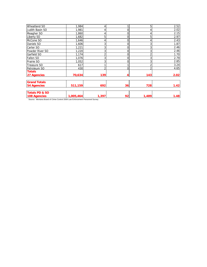| Wheatland SO              | 1,984     |                |                 | 5              | 2.52 |
|---------------------------|-----------|----------------|-----------------|----------------|------|
| Judith Basin SO           | 1,981     |                | $\mathbf{0}$    |                | 2.02 |
| Meagher SO                | 1,860     |                | 0               |                | 2.15 |
| Liberty SO                | 1,682     | 5              | $\mathbf{0}$    | 5              | 2.97 |
| McCone SO                 | 1,646     | 4              | $\Omega$        |                | 2.43 |
| Daniels SO                | 1,606     | 3              | 0               | 3              | 1.87 |
| Carter SO                 | 1,221     | 3              |                 | 3              | 2.46 |
| Powder River SO           | 1,220     | 3              | $\Omega$        | 3              | 2.46 |
| Garfield SO               | 1,174     | $\overline{2}$ | $\Omega$        | $\overline{2}$ | 1.70 |
| Fallon SO                 | 1,076     | 3              | $\Omega$        | 3              | 2.79 |
| Prairie SO                | 1,052     | 3              |                 | 3              | 2.85 |
| Treasure SO               | 617       |                |                 | $\overline{2}$ | 3.24 |
| Petroleum SO              | 430       | ำ              | $\Omega$        | C              | 4.65 |
| <b>Totals</b>             |           |                |                 |                |      |
| 27 Agencies               | 70,634    | 139            |                 | 143            | 2.02 |
| <b>Grand Totals</b>       |           |                |                 |                |      |
| 54 Agencies               | 511,159   | 692            | 36 <sub>l</sub> | 728            | 1.42 |
| <b>Totals PD &amp; SO</b> |           |                |                 |                |      |
| 108 Agencies              | 1,005,464 | 1,397          | 92              | 1,489          | 1.48 |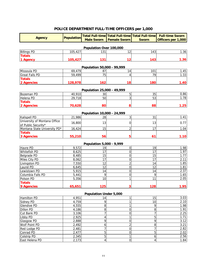# **POLICE DEPARTMENT FULL-TIME OFFICERS per 1,000**

| <b>Agency</b>                | <b>Population</b> |                                  | Total Full-time   Total Full-time   Total Full-time |                  | <b>Full-time Sworn</b> |
|------------------------------|-------------------|----------------------------------|-----------------------------------------------------|------------------|------------------------|
|                              |                   | <b>Male Sworn</b>                | <b>Female Sworn</b>                                 | <b>Sworn</b>     | Officers per 1,000     |
|                              |                   |                                  |                                                     |                  |                        |
|                              |                   | Population Over 100,000          |                                                     |                  |                        |
| <b>Billings PD</b>           | 105,427           | 131                              | 12                                                  | 143              | 1.36                   |
| <b>Totals</b>                |                   |                                  |                                                     |                  |                        |
| 1 Agency                     | 105,427           | 131                              | 12                                                  | 143              | 1.36                   |
|                              |                   | Population 50,000 - 99,999       |                                                     |                  |                        |
| Missoula PD                  | 69,479            | 87                               | 14                                                  | 101              | 1.45                   |
| <b>Great Falls PD</b>        | 59,499            | 75                               | 4                                                   | 79               | 1.33                   |
| <b>Totals</b>                |                   |                                  |                                                     |                  |                        |
| 2 Agencies                   | 128,978           | 162                              | 18                                                  | 180              | 1.40                   |
|                              |                   |                                  |                                                     |                  |                        |
| Bozeman PD                   | 40,910            | Population 25,000 - 49,999<br>30 | 5                                                   | 35               | 0.86                   |
| Helena PD                    | 29,718            | 50                               | 3                                                   | 53               | 1.78                   |
| <b>Totals</b>                |                   |                                  |                                                     |                  |                        |
| 2 Agencies                   | 70,628            | 80                               | 8                                                   | 88               | 1.25                   |
|                              |                   |                                  |                                                     |                  |                        |
| Kalispell PD                 | 21,986            | Population 10,000 - 24,999<br>28 | $\overline{3}$                                      | 31               | 1.41                   |
| University of Montana Office |                   |                                  |                                                     |                  |                        |
| of Public Security*          | 16,800            | 13                               | $\overline{0}$                                      | 13               | 0.77                   |
| Montana State University PD* | 16,424            | 15                               | $\overline{2}$                                      | 17               | 1.04                   |
| <b>Totals</b>                |                   |                                  |                                                     |                  |                        |
| 3 Agencies                   | 55,210            | 56                               | 5                                                   | 61               | 1.10                   |
|                              |                   |                                  |                                                     |                  |                        |
| Havre PD                     | 9,572             | Population 5,000 - 9,999<br>19   | $\overline{0}$                                      | 19               | 1.98                   |
| Whitefish PD                 | 8,625             | 17                               | $\overline{0}$                                      | 17               | 1.97                   |
| <b>Belgrade PD</b>           | 8,485             | 15                               | $\overline{0}$                                      | 15               | 1.77                   |
| Miles City PD                | 8,062             | 17                               | $\mathbf 0$                                         | 17               | 2.11                   |
| Livingston PD                | 7,550             | 12                               | $\overline{a}$                                      | 14               | 1.85                   |
| Laurel PD                    | 6,645             | 12                               | $\mathbf 0$                                         | 12               | 1.81                   |
| Lewistown PD                 | 5,915             | 14                               | $\overline{0}$                                      | 14               | 2.37                   |
| Columbia Falls PD            | 5,441             | 9                                | $\overline{0}$                                      | 9                | 1.65                   |
| Polson PD                    | 5,356             | 10                               | 1                                                   | 11               | 2.05                   |
| <b>Totals</b>                |                   |                                  |                                                     |                  |                        |
| 9 Agencies                   | 65,651            | 125                              | 3                                                   | 128              | 1.95                   |
|                              |                   | <b>Population Under 5,000</b>    |                                                     |                  |                        |
| Hamilton PD                  | 4,951             | 14                               | 1                                                   | 15               | 3.03                   |
| Sidney PD                    | 4,759             | 9                                | $\mathbf{1}$                                        | 10               | 2.10                   |
| <b>Glendive PD</b>           | 4,555             | 8                                | 1                                                   | 9                | 1.98                   |
| Dillon PD                    | 4,186             | 8                                | $\overline{0}$                                      | 8                | 1.91                   |
| Cut Bank PD                  | 3,106             | 7                                | $\overline{0}$                                      | $\overline{7}$   | 2.25                   |
| Libby PD                     | 2,925             | 4                                | 1                                                   | 5                | 1.71                   |
| <b>Glasgow PD</b>            | 2,888             | 9                                | $\overline{0}$                                      | 9                | 3.12                   |
| Wolf Point PD                | 2,492             | 6                                | $\overline{a}$                                      | 8                | 3.21                   |
| Red Lodge PD                 | 2,481             | 7                                | $\overline{0}$                                      | $\overline{7}$   | 2.82                   |
| Conrad PD                    | 2,477             | 5                                | $\mathbf 0$                                         | $\overline{5}$   | 2.02                   |
| Colstrip PD                  | 2,345             | $\overline{5}$                   | 1                                                   | $\boldsymbol{6}$ | 2.56                   |
| East Helena PD               | 2,173             | 4                                | $\overline{0}$                                      | 4                | 1.84                   |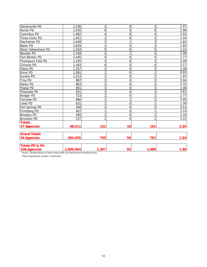| Stevensville PD           | 2,036     | 3              | $\overline{0}$ | 3              | 1.47 |
|---------------------------|-----------|----------------|----------------|----------------|------|
| Ronan PD                  | 2,030     | 6              | $\overline{0}$ | 6              | 2.96 |
| Columbus PD               | 1,982     | 4              | $\overline{0}$ | 4              | 2.02 |
| Three Forks PD            | 1,951     | $\overline{3}$ | $\overline{0}$ | 3              | 1.54 |
| Manhattan PD              | 1,649     | $\overline{2}$ | 1              | 3              | 1.82 |
| <b>Baker PD</b>           | 1,629     | 3              | $\overline{0}$ | 3              | 1.84 |
| West Yellowstone PD       | 1,554     | 5              | $\overline{0}$ | 5              | 3.22 |
| <b>Boulder PD</b>         | 1,458     | $\overline{2}$ |                | 3              | 2.06 |
| Fort Benton PD            | 1,445     | 4              | 0              | $\overline{4}$ | 2.77 |
| Thompson Falls PD         | 1,435     | 3              | $\overline{0}$ | 3              | 2.09 |
| Chinook PD                | 1,263     | $\overline{4}$ | $\overline{0}$ | 4              | 3.17 |
| Plains PD                 | 1,257     | 3              | $\overline{0}$ | 3              | 2.39 |
| <b>Ennis PD</b>           | 1,081     | $\overline{1}$ | $\overline{0}$ | 1              | 0.93 |
| Eureka PD                 | 1,013     | $\overline{2}$ | $\overline{0}$ | $\overline{2}$ | 1.97 |
| <b>Troy PD</b>            | 987       | 3              | $\overline{0}$ | 3              | 3.04 |
| Darby PD                  | 863       | $\overline{2}$ | $\overline{0}$ | $\overline{2}$ | 2.32 |
| Poplar PD                 | 861       | $\overline{3}$ | $\overline{0}$ | 3              | 3.48 |
| Pinesdale PD              | 831       | $\overline{3}$ | $\overline{0}$ | 3              | 3.61 |
| <b>Bridger PD</b>         | 723       | $\overline{2}$ | $\mathbf 0$    | $\overline{2}$ | 2.77 |
| <b>Fairview PD</b>        | 666       | $\overline{1}$ | 1              | $\overline{2}$ | 3.00 |
| Joliet PD                 | 631       | 1              | $\overline{0}$ | 1              | 1.58 |
| Hot Springs PD            | 568       | $\overline{c}$ | $\overline{0}$ | $\overline{c}$ | 3.52 |
| Fromberg PD               | 467       | 1              | $\overline{0}$ | $\mathbf{1}$   | 2.14 |
| <b>Broadus PD</b>         | 456       | 1              | $\overline{0}$ | 1              | 2.19 |
| <b>Brockton PD</b>        | 237       | 1              | $\overline{0}$ | 1              | 4.22 |
| <b>Totals</b>             |           |                |                |                |      |
| 37 Agencies               | 68,411    | 151            | 10             | 161            | 2.35 |
| <b>Grand Totals</b>       |           |                |                |                |      |
| <b>54 Agencies</b>        | 494,305   | 705            | 56             | 761            | 1.54 |
| <b>Totals PD &amp; SO</b> |           |                |                |                |      |
| 108 Agencies              | 1,005,464 | 1,397          | 92             | 1,489          | 1.48 |

\*Police Departments includes 2 Universities.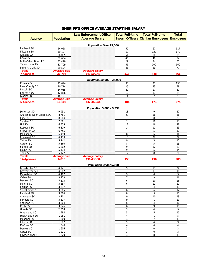# **SHERIFF'S OFFICE AVERAGE STARTING SALARY**

|                                |                     | <b>Law Enforcement Officer</b> | <b>Total Full-time</b> | <b>Total Full-time</b>                             | <b>Total</b>   |
|--------------------------------|---------------------|--------------------------------|------------------------|----------------------------------------------------|----------------|
| <b>Agency</b>                  | <b>Population</b>   | <b>Average Salary</b>          |                        | <b>Sworn Officers Civilian Employees Employees</b> |                |
|                                |                     |                                |                        |                                                    |                |
|                                |                     | Population Over 25,000         |                        |                                                    |                |
| Flathead SO                    | 54,058              |                                | 50                     | 67                                                 | 117            |
| Missoula SO                    | 39,107              |                                | 50                     | 122                                                | 172            |
| Gallatin SO                    | 38,005              |                                | 51                     | 38                                                 | 89             |
| Ravalli SO                     | 32,604              |                                | 46                     | 48                                                 | 94             |
| <b>Butte-Silver Bow LED</b>    | 32,479              |                                | 29                     | 34                                                 | 63             |
| Yellowstone SO                 | 31,709              |                                | 51                     | 109                                                | 160            |
| Lewis & Clark SO               | 29,594              |                                | 41                     | 30                                                 | 71             |
| <b>Totals</b>                  | <b>Average Size</b> | <b>Average Salary</b>          |                        |                                                    |                |
| <b>7 Agencies</b>              | 36,794              | \$43,509.48                    | 318                    | 448                                                | 766            |
|                                |                     |                                |                        |                                                    |                |
| Cascade SO                     |                     | Population 10,000 - 24,999     |                        |                                                    |                |
|                                | 22,694              |                                | 33                     | 97                                                 | 130            |
| Lake County SO                 | 20,714              |                                | 25                     | 33                                                 | 58             |
| Lincoln SO                     | 14,055              |                                | 20                     | 17                                                 | 37             |
| Big Horn SO                    | 12,856              |                                | 12                     | 17                                                 | 29             |
| Glacier SO                     | 10,197              |                                | 14                     | $\overline{7}$                                     | 21             |
| <b>Totals</b>                  | <b>Average Size</b> | <b>Average Salary</b>          |                        |                                                    |                |
| <b>5 Agencies</b>              | 16,103              | \$37,340.44                    | 104                    | 171                                                | 275            |
|                                |                     | Population 5,000 - 9,999       |                        |                                                    |                |
| Jefferson SO                   | 9,931               |                                | 13                     | 9                                                  | 22             |
| Anaconda-Deer Lodge LEA        | 8,781               |                                | 20                     | 16                                                 | 36             |
| Park SO                        | 8,684               |                                | 15                     | 8                                                  | 23             |
| Sanders SO                     | 7,861               |                                | $\overline{7}$         | 10                                                 | 17             |
| Hill SO                        | 6,855               |                                | 12                     | 16                                                 | 28             |
| Rosebud SO                     | 6,819               |                                | 14                     | 11                                                 | 25             |
| Stillwater SO                  | 6,755               |                                | $\overline{7}$         | 5                                                  | 12             |
| Madison SO                     | 6,499               |                                | 8                      | 6                                                  | 14             |
| Roosevelt SO                   | 6,439               |                                | 10                     | 22                                                 | 32             |
| Teton SO                       | 5,942               |                                | 9                      | 3                                                  | 12             |
| Carbon SO                      | 5,360               |                                | 8                      | 5                                                  | 13             |
| Fergus SO                      | 5,202               |                                | 9                      | 12                                                 | 21             |
| <b>Blaine SO</b>               | 5,174               |                                | 9                      | 5                                                  | 14             |
| Toole SO                       | 5,127               |                                | 12                     | 8                                                  | 20             |
| <b>Totals</b>                  | <b>Average Size</b> | <b>Average Salary</b>          |                        |                                                    |                |
| <b>14 Agencies</b>             | 6,816               | \$36,436.34                    | 153                    | 136                                                | 289            |
|                                |                     |                                |                        |                                                    |                |
|                                |                     | Population Under 5,000         |                        |                                                    |                |
| Broadwater SO<br>Beaverhead SO | 4.741               |                                | 9                      | 13                                                 | 22             |
|                                | 4,682               |                                | 7                      | 11                                                 | 18             |
| Musselshell SO                 | 4,497               |                                | 9                      | $\boldsymbol{0}$                                   | 9              |
| Valley SO                      | 3,923               |                                | $\overline{7}$         | 9                                                  | 16             |
| Dawson SO                      | 3,873               |                                | 6                      | $10$                                               | 16             |
| Mineral SO                     | 3.857               |                                | 6                      | 11                                                 | 17             |
| Phillips SO                    | 3,837               |                                | $\overline{7}$         | $\overline{4}$                                     | 11             |
| Sweet Grass SO                 | 3,805               |                                | 6                      | 6                                                  | 12             |
| Richland SO                    | 3,804               |                                | 8                      | 9                                                  | 17             |
| Chouteau SO                    | 3,701               |                                | 9                      | 10                                                 | 19             |
| Pondera SO                     | 3,317               |                                | 9                      | 1                                                  | 10             |
| Sheridan SO                    | 3,204               |                                | 6                      | $\overline{4}$                                     | 10             |
| Custer SO                      | 3,026               |                                | 6                      | 9                                                  | 15             |
| Granite SO                     | 2,818               |                                | 5                      | $\overline{4}$                                     | 9              |
| Wheatland SO                   | 1,984               |                                | 5                      | 5                                                  | 10             |
| Judith Basin SO                | 1,981               |                                | 4                      | 1                                                  | 5              |
| Meagher SO                     | 1,860               |                                | $\overline{4}$         | $\overline{7}$                                     | 11             |
| Liberty SO                     | 1,682               |                                | 5                      | 4                                                  | 9              |
| McCone SO                      | 1,646               |                                | 4                      | $\boldsymbol{0}$                                   | $\overline{4}$ |
| Daniels SO                     | 1,606               |                                | 3                      | 0                                                  | 3              |
| Carter SO                      | 1,221               |                                | 3                      | 0                                                  | 3              |
| Powder River SO                | 1,220               |                                | 3                      | 8                                                  | 11             |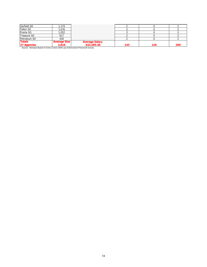| Garfield SO   | 174                 |                       |     |     |     |
|---------------|---------------------|-----------------------|-----|-----|-----|
| Fallon SO     | .076                |                       |     |     |     |
| Prairie SO    | 1,052               |                       |     |     |     |
| Treasure SO   | 61.                 |                       |     |     |     |
| Petroleum SO  | 430                 |                       |     |     |     |
| <b>Totals</b> | <b>Average Size</b> | <b>Average Salary</b> |     |     |     |
| 27 Agencies   | 2.616               | \$32,285.40           | 143 | 126 | 269 |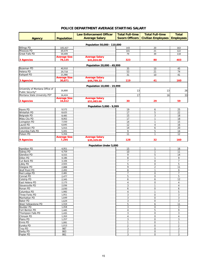#### **POLICE DEPARTMENT AVERAGE STARTING SALARY**

|                                 |                               | <b>Law Enforcement Officer</b> | <b>Total Full-time</b>  | <b>Total Full-time</b>    | <b>Total</b>     |
|---------------------------------|-------------------------------|--------------------------------|-------------------------|---------------------------|------------------|
| <b>Agency</b>                   | <b>Population</b>             | <b>Average Salary</b>          | <b>Sworn Officers</b>   | <b>Civilian Employees</b> | <b>Employees</b> |
|                                 |                               |                                |                         |                           |                  |
| <b>Billings PD</b>              |                               | Population 50,000 - 110,000    |                         |                           |                  |
| Missoula PD                     | 105,427                       |                                | 143<br>101              | 20<br>21                  | 163              |
|                                 | 69,479<br>59,499              |                                |                         |                           | 122              |
| <b>Great Falls PD</b>           |                               | <b>Average Salary</b>          | 79                      | 39                        | 118              |
| <b>3 Agencies</b>               | <b>Average Size</b><br>78,135 | \$41,824.00                    | 323                     | 80                        | 403              |
|                                 |                               |                                |                         |                           |                  |
| Bozeman PD                      |                               | Population 20,000 - 49,999     |                         |                           |                  |
|                                 | 40,910                        |                                | 35                      | 10                        | 45               |
| Helena PD                       | 29,718                        |                                | 53                      | 21                        | 74               |
| Kalispell PD                    | 21,986                        | <b>Average Salary</b>          | 31                      | 10                        | 41               |
| <b>3 Agencies</b>               | <b>Average Size</b><br>30,871 | \$44,799.33                    | 119                     | 41                        | 160              |
|                                 |                               |                                |                         |                           |                  |
| University of Montana Office of |                               | Population 10,000 - 19,999     |                         |                           |                  |
| Public Security*                | 16,800                        |                                | 13                      | 13                        | 26               |
| Montana State University PD*    | 16,424                        |                                | 17                      | 16                        | 33               |
|                                 | <b>Average Size</b>           | <b>Average Salary</b>          |                         |                           |                  |
| 2 Agencies                      | 16,612                        | \$51,083.66                    | 30                      | 29                        | 59               |
|                                 |                               |                                |                         |                           |                  |
| Havre PD                        | 9,572                         | Population 5,000 - 9,999       | 19                      | 6                         | 25               |
| <b>Whitefish PD</b>             | 8,625                         |                                | 17                      | 5                         | 22               |
| <b>Belgrade PD</b>              | 8,485                         |                                | 15                      | 3                         | 18               |
| Miles City PD                   | 8,062                         |                                | 17                      | $\mathbf{1}$              | 18               |
| Livingston PD                   | 7,550                         |                                | 14                      | $\mathbf{1}$              | 15               |
| Laurel PD                       | 6,645                         |                                | 12                      | 4                         | 16               |
| Lewistown PD                    | 5,915                         |                                | 14                      | 6                         | 20               |
| Columbia Falls PD               | 5,441                         |                                | 9                       | 5                         | 14               |
| Polson PD                       | 5,356                         |                                | 11                      | $\mathbf{1}$              | 12               |
|                                 | <b>Average Size</b>           | <b>Average Salary</b>          |                         |                           |                  |
| 9 Agencies                      | 7,295                         | \$35,329.09                    | 128                     | 32                        | 160              |
|                                 |                               |                                |                         |                           |                  |
| Hamilton PD                     | 4,951                         | <b>Population Under 5,000</b>  | 15                      | 1                         |                  |
| Sidney PD                       | 4,759                         |                                | 10                      | $\mathbf{1}$              | 16<br>11         |
| <b>Glendive PD</b>              | 4,555                         |                                | 9                       | 5                         | 14               |
| Dillon PD                       | 4,186                         |                                | 8                       | 1                         | 9                |
| Cut Bank PD                     | 3,106                         |                                | $\overline{7}$          | $\pmb{0}$                 | $\overline{7}$   |
| Libby PD                        | 2,925                         |                                | $\overline{5}$          | $\pmb{0}$                 | 5                |
| Glasgow PD                      | 2,888                         |                                | 9                       | $\overline{2}$            | 11               |
| Wolf Point PD                   | 2,492                         |                                | 8                       | $\mathbf{1}$              | 9                |
| Red Lodge PD                    | 2,481                         |                                | $\overline{7}$          | $\pmb{0}$                 | $\overline{7}$   |
| Conrad PD                       | 2,477                         |                                | 5                       | $\mathbf 0$               | 5                |
| Colstrip PD                     | 2,345                         |                                | 6                       | 6                         | 12               |
| East Helena PD                  | 2,173                         |                                | $\overline{\mathbf{4}}$ | $\boldsymbol{0}$          | $\overline{4}$   |
| Stevensville PD                 | 2,036                         |                                | 3                       | 1                         | 4                |
| Ronan PD                        | 2,030                         |                                | 6                       | $\pmb{0}$                 | 6                |
| <b>Columbus PD</b>              | 1,982                         |                                | 4                       | $\mathbf{1}$              | 5                |
| Three Forks PD                  | 1,951                         |                                | 3                       | $\boldsymbol{0}$          | 3                |
| Manhattan PD                    | 1,649                         |                                | 3                       | $\pmb{0}$                 | 3                |
| Baker PD                        | 1,629                         |                                | 3                       | $\boldsymbol{0}$          | 3                |
| West Yellowstone PD             | 1,554                         |                                | 5                       | 6                         | 11               |
| <b>Boulder PD</b>               | 1,458                         |                                | 3                       | 0                         | 3                |
| Fort Benton PD                  | 1,445                         |                                | 4                       | 5                         | 9                |
| Thompson Falls PD               | 1,435                         |                                | 3                       | 0                         | 3                |
| Chinook PD                      | 1,263                         |                                | 4                       | 0                         | $\overline{4}$   |
| Plains PD                       | 1,257                         |                                | 3                       | 0                         | 3                |
| Ennis PD                        | 1,081                         |                                | $\mathbf{1}$            | 0                         | $\mathbf{1}$     |
| Eureka PD                       | 1,013                         |                                | $\overline{2}$          | 0                         | $\overline{2}$   |
|                                 |                               |                                |                         |                           |                  |

Troy PD 987 987 3 3 0 3 Darby PD | 863 | 2 | 0 2 2 Poplar PD 861 3 0 3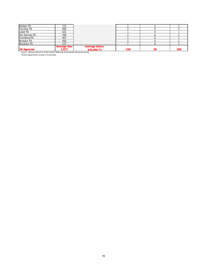| <b>Bridger PD</b>     | 723                 |                       |     |    |     |
|-----------------------|---------------------|-----------------------|-----|----|-----|
| <b>Fairview PD</b>    | 666                 |                       |     |    |     |
| Joliet PD             | 631                 |                       |     |    |     |
| <b>Hot Springs PD</b> | 568                 |                       |     |    |     |
| Fromberg PD           | 467                 |                       |     |    |     |
| <b>Broadus PD</b>     | 456                 |                       |     |    |     |
| <b>Brockton PD</b>    | 237                 |                       |     |    |     |
|                       | <b>Average Size</b> | <b>Average Salary</b> |     |    |     |
| 36 Agencies           | 1,877               | \$30,989.71           | 158 | 30 | 188 |

\*Police Departments include 2 Universities.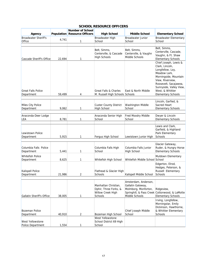|                                  |        | <b>Number of School</b>             |                                  |                                |                                                |
|----------------------------------|--------|-------------------------------------|----------------------------------|--------------------------------|------------------------------------------------|
| Agency                           |        | <b>Population Resource Officers</b> | <b>High School</b>               | <b>Middle School</b>           | <b>Elementary School</b>                       |
| <b>Broadwater Sheriff's</b>      | 4,741  |                                     | Broadwater High                  | <b>Broadwater Junior</b>       | <b>Broadwater Elementary</b>                   |
| Office                           |        | 1                                   | School                           | School                         | School                                         |
|                                  |        |                                     |                                  |                                | Belt, Simms,                                   |
|                                  |        |                                     | Belt, Simms,                     | Belt, Simms,                   | Centerville, Cascade,                          |
|                                  |        |                                     | Centerville, & Cascade           | Centerville, & Vaughn          | Vaughn, & Ft. Shaw                             |
| Cascade Sheriff's Office         | 22,694 | 1                                   | <b>High Schools</b>              | Middle Schools                 | <b>Elementary Schools</b>                      |
|                                  |        |                                     |                                  |                                | Chief Joseph, Lewis &                          |
|                                  |        |                                     |                                  |                                | Clark, Lincoln,                                |
|                                  |        |                                     |                                  |                                | Longfellow, Loy,                               |
|                                  |        |                                     |                                  |                                | Meadow Lark,<br>Morningside, Mountain          |
|                                  |        |                                     |                                  |                                | View, Riverview,                               |
|                                  |        |                                     |                                  |                                | Roosevelt, Sacajawea,                          |
|                                  |        |                                     |                                  |                                | Sunnyside, Valley View,                        |
| <b>Great Falls Police</b>        |        |                                     | <b>Great Falls &amp; Charles</b> | East & North Middle            | West, & Whittier                               |
| Department                       | 59,499 | 4                                   | M. Russell High Schools Schools  |                                | <b>Elementary Schools</b>                      |
|                                  |        |                                     |                                  |                                | Lincoln, Garfied, &                            |
| <b>Miles City Police</b>         |        |                                     | <b>Custer County District</b>    | Washington Middle              | Sacred Heart                                   |
| Department                       | 9.062  | 1                                   | <b>High School</b>               | School                         | <b>Elementary Schools</b>                      |
|                                  |        |                                     |                                  |                                |                                                |
| Anaconda-Deer Lodge              |        |                                     | Anaconda Senior High             | Fred Moodry Middle             | Dwyer & Lincoln                                |
| LEA                              | 8,781  | 1                                   | School                           | School                         | <b>Elementary Schools</b>                      |
|                                  |        |                                     |                                  |                                | Lewis and Clark,                               |
|                                  |        |                                     |                                  |                                | Garfield, & Highland                           |
| Lewistown Police                 |        |                                     |                                  |                                | Park Elementary                                |
| Department                       | 5,915  | 1                                   | Fergus High School               | Lewistown Junior High          | <b>Schools</b>                                 |
|                                  |        |                                     |                                  |                                | Glacier Gateway,                               |
| Columbia Falls Police            |        |                                     | Columbia Falls High              | Columbia Falls Junior          | Ruder, & Hungry Horse                          |
| Department                       | 5,441  | 1                                   | School                           | <b>High School</b>             | <b>Elementary Schools</b>                      |
| Whitefish Police                 |        |                                     |                                  |                                | Muldown Elementary                             |
| Department                       | 8,625  | 1                                   | Whitefish High School            | Whitefish Middle School School |                                                |
|                                  |        |                                     |                                  |                                | Edgerton, Elrod,                               |
|                                  |        |                                     |                                  |                                | Hedges, Peterson, &                            |
| Kalispell Police                 |        |                                     | Flathead & Glacier High          |                                | Russell Elementary                             |
| Department                       | 21,986 | 2                                   | Schools                          | Kalispell Middle School        | Schools                                        |
|                                  |        |                                     |                                  | Amsterdam, Anderson,           |                                                |
|                                  |        |                                     | Manhattan Christian,             | Gallatin Gateway,              |                                                |
|                                  |        |                                     | Ophir, Three Forks, &            | Molmborg, Monforton,           | Ridgeview,                                     |
|                                  |        |                                     | Willow Creek High                |                                | Springhill, & Pass Creek Cottonwood, & LaMotte |
| <b>Gallatin Sheriff's Office</b> | 38,005 | 1                                   | Schools                          | Middle Schools                 | <b>Elementary Schools</b>                      |
|                                  |        |                                     |                                  |                                | Irving, Longfellow,                            |
|                                  |        |                                     |                                  |                                | Morningstar, Emily<br>Dickinson, Hawthorne,    |
| Bozeman Police                   |        |                                     |                                  | Chief Joseph Middle            | & Whittier Elementary                          |
| Department                       | 40,910 | 2                                   | Bozeman High School              | School                         | Schools                                        |
|                                  |        |                                     | West Yellowstone                 |                                |                                                |
| West Yellowstone                 |        |                                     | School District 69 High          |                                |                                                |
| Police Department                | 1,554  | 1                                   | School                           |                                |                                                |

#### **SCHOOL RESOURCE OFFICERS**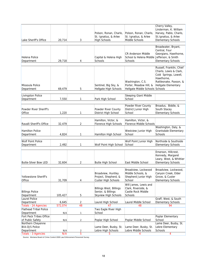| Lake Sheriff's Office                                            | 20,714           | 3                   | Polson, Ronan, Charlo,<br>St. Ignatius, & Arlee<br><b>High Schools</b>              | Polson, Ronan, Charlo,<br>St. Ignatius, & Arlee<br>Middle Schools                 | Cherry Valley,<br>Linderman, K. William<br>Harvey, Pablo, Charlo,<br>St. Ignatius, & Arlee<br><b>Elementary Schools</b>                    |
|------------------------------------------------------------------|------------------|---------------------|-------------------------------------------------------------------------------------|-----------------------------------------------------------------------------------|--------------------------------------------------------------------------------------------------------------------------------------------|
| Helena Police<br>Department                                      | 29,718           | 4                   | Capital & Helena High<br>Schools                                                    | <b>CR Anderson Middle</b><br>School & Helena Middle Jefferson, & Smith<br>Schools | Broadwater, Bryant,<br>Central, Four<br>Georgians, Hawthorne,<br><b>Elementary Schools</b>                                                 |
| Missoula Police<br>Department                                    | 69,479           | 5                   | Sentinel, Big Sky, &<br>Hellgate High Schools                                       | Washington, C.S.<br>Porter, Meadow Hill, &<br>Hellgate Middle Schools Schools     | Russell, Franklin, Chief<br>Charlo, Lewis & Clark,<br>Cold Springs, Lowell,<br>Hawthorne,<br>Rattlesnake, Paxson, &<br>Hellgate Elementary |
| <b>Livingston Police</b><br>Department                           | 7,550            | 1                   | Park High School                                                                    | <b>Sleeping Giant Middle</b><br>School                                            |                                                                                                                                            |
| Powder River Sheriff's<br>Office                                 | 1,220            | 1                   | Powder River County<br>District High School                                         | Powder River County<br>District Junior High<br>School                             | Broadus, Biddle, &<br>South Stacey<br><b>Elementary Schools</b>                                                                            |
| Ravalli Sheriff's Office                                         | 32,479           | 2                   | Hamilton, Victor, &<br>Florence High Schools                                        | Hamilton, Victor, &<br>Florence Middle Schools                                    |                                                                                                                                            |
| <b>Hamilton Police</b><br>Department                             | 4,824            | 1                   | Hamilton High School                                                                | Westview Junior High<br>School                                                    | Washington, Daly, &<br>Grantsdale Elementary<br>Schools                                                                                    |
| <b>Wolf Point Police</b><br>Department                           | 2,492            | 1                   | Wolf Point High School                                                              | Wolf Point Junior High<br>School                                                  | Northside & Southside<br><b>Elementary Schools</b>                                                                                         |
| <b>Butte-Silver Bow LED</b>                                      | 32,604           | 2                   | <b>Butte High School</b>                                                            | East Middle School                                                                | Emerson, Hillcrest,<br>Kennedy, Margaret<br>Leary, West, & Whittier<br><b>Elementary Schools</b>                                           |
| Yellowstone Sheriff's<br>Office                                  | 31,709           | 4                   | Broadview, Huntley<br>Project, Shepherd, &<br>Custer High Schools                   | Broadview, Lockwood<br>Middle Schools, &<br>Shepherd Junior High<br>School        | Broadview, Lockwood,<br>Canyon Creek, Elder<br>Grove, & Custer<br><b>Elementary Schools</b>                                                |
| <b>Billings Police</b><br>Department                             | 105,427          | 5                   | <b>Billings West, Billings</b><br>Senior, & Billings<br><b>Skyview High Schools</b> | Will James, Lewis and<br>Clark, Riverside, &<br>Castle Rock Middle<br>Schools     |                                                                                                                                            |
| <b>Laurel Police</b><br>Department<br>Totals - 24 Agencies       | 6,645<br>572,074 | <u>2</u><br>48      | Laurel High School<br>47                                                            | Laurel Middle School<br>48                                                        | Graff, West, & South<br><b>Elementary Schools</b><br>94                                                                                    |
| <b>Flathead Tribal Police</b><br>Department                      | N/A              | $\mathbf{1}$        | Two Eagle River High<br>School                                                      |                                                                                   |                                                                                                                                            |
| Fort Peck Tribes Office<br>of Public Safety<br>Northern Cheyenne | N/A              | $\overline{c}$      | Poplar High School                                                                  | Poplar Middle School                                                              | Poplar Elementary<br>School<br>Lame Deer, Busby, St.                                                                                       |
| <b>BIA-OJS Police</b><br>Department<br>Totals - 3 Agencies       | N/A<br>N/A       | $\overline{2}$<br>5 | Lame Deer, Busby, St.<br>Lebre High Schools                                         | Lame Deer, Busby, St.<br>Lebre Middle Schools<br>4                                | Lebre Elementary<br>Schools<br>4                                                                                                           |
|                                                                  |                  |                     |                                                                                     |                                                                                   |                                                                                                                                            |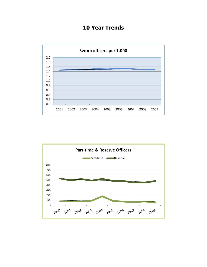# **10 Year Trends**



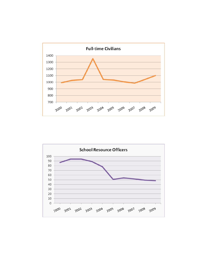

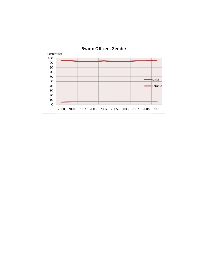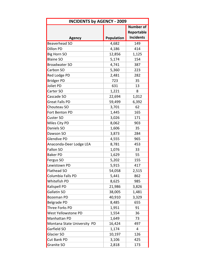| <b>INCIDENTS by AGENCY - 2009</b> |            |                  |  |  |  |  |
|-----------------------------------|------------|------------------|--|--|--|--|
|                                   |            | <b>Number of</b> |  |  |  |  |
|                                   |            | Reportable       |  |  |  |  |
| <b>Agency</b>                     | Population | <b>Incidents</b> |  |  |  |  |
| <b>Beaverhead SO</b>              | 4,682      | 149              |  |  |  |  |
| <b>Dillon PD</b>                  | 4,186      | 414              |  |  |  |  |
| <b>Big Horn SO</b>                | 12,856     | 1,125            |  |  |  |  |
| <b>Blaine SO</b>                  | 5,174      | 154              |  |  |  |  |
| <b>Broadwater SO</b>              | 4,741      | 387              |  |  |  |  |
| Carbon SO                         | 5,360      | 223              |  |  |  |  |
| Red Lodge PD                      | 2,481      | 282              |  |  |  |  |
| <b>Bridger PD</b>                 | 723        | 35               |  |  |  |  |
| Joliet PD                         | 631        | 13               |  |  |  |  |
| Carter SO                         | 1,221      | 8                |  |  |  |  |
| Cascade SO                        | 22,694     | 1,012            |  |  |  |  |
| <b>Great Falls PD</b>             | 59,499     | 6,392            |  |  |  |  |
| Chouteau SO                       | 3,701      | 62               |  |  |  |  |
| Fort Benton PD                    | 1,445      | 165              |  |  |  |  |
| <b>Custer SO</b>                  | 3,026      | 171              |  |  |  |  |
| Miles City PD                     | 8,062      | 903              |  |  |  |  |
| Daniels SO                        | 1,606      | 35               |  |  |  |  |
| Dawson SO                         | 3,873      | 284              |  |  |  |  |
| <b>Glendive PD</b>                | 4,555      | 965              |  |  |  |  |
| Anaconda-Deer Lodge LEA           | 8,781      | 453              |  |  |  |  |
| Fallon SO                         | 1,076      | 33               |  |  |  |  |
| <b>Baker PD</b>                   | 1,629      | 55               |  |  |  |  |
| Fergus SO                         | 5,202      | 155              |  |  |  |  |
| Lewistown PD                      | 5,915      | 417              |  |  |  |  |
| Flathead SO                       | 54,058     | 2,515            |  |  |  |  |
| Columbia Falls PD                 | 5,441      | 862              |  |  |  |  |
| Whitefish PD                      | 8,625      | 985              |  |  |  |  |
| Kalispell PD                      | 21,986     | 3,826            |  |  |  |  |
| Gallatin SO                       | 38,005     | 1,481            |  |  |  |  |
| <b>Bozeman PD</b>                 | 40,910     | 3,329            |  |  |  |  |
| Belgrade PD                       | 8,485      | 655              |  |  |  |  |
| Three Forks PD                    | 1,951      | 91               |  |  |  |  |
| <b>West Yellowstone PD</b>        | 1,554      | 36               |  |  |  |  |
| Manhattan PD                      | 1,649      | 73               |  |  |  |  |
| Montana State University PD       | 16,424     | 497              |  |  |  |  |
| Garfield SO                       | 1,174      | 4                |  |  |  |  |
| Glacier SO                        | 10,197     | 126              |  |  |  |  |
| <b>Cut Bank PD</b>                | 3,106      | 425              |  |  |  |  |
| Granite SO                        | 2,818      | 173              |  |  |  |  |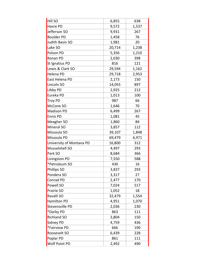| <b>Hill SO</b>           | 6,855  | 638   |
|--------------------------|--------|-------|
| Havre PD                 | 9,572  | 1,537 |
| Jefferson SO             | 9,931  | 267   |
| <b>Boulder PD</b>        | 1,458  | 76    |
| Judith Basin SO          | 1,981  | 20    |
| Lake SO                  | 20,714 | 1,238 |
| Polson PD                | 5,356  | 1,210 |
| Ronan PD                 | 2,030  | 398   |
| St Ignatius PD           | 816    | 121   |
| Lewis & Clark SO         | 29,594 | 1,162 |
| Helena PD                | 29,718 | 2,953 |
| East Helena PD           | 2,173  | 150   |
| Lincoln SO               | 14,055 | 897   |
| Libby PD                 | 2,925  | 212   |
| Eureka PD                | 1,013  | 100   |
| <b>Troy PD</b>           | 987    | 66    |
| McCone SO                | 1,646  | 70    |
| <b>Madison PD</b>        | 6,499  | 267   |
| <b>Ennis PD</b>          | 1,081  | 45    |
| Meagher SO               | 1,860  | 84    |
| Mineral SO               | 3,857  | 112   |
| Missoula SO              | 39,107 | 1,848 |
| Missoula PD              | 69,479 | 6,971 |
| University of Montana PD | 16,800 | 312   |
| Musselshell SO           | 4,497  | 293   |
| Park SO                  | 8,684  | 366   |
| Livingston PD            | 7,550  | 588   |
| *Petroleum SO            | 430    | 16    |
| Phillips SO              | 3,837  | 293   |
| Pondera SO               | 3,317  | 27    |
| Conrad PD                | 2,477  | 170   |
| Powell SO                | 7,024  | 517   |
| Prairie SO               | 1,052  | 18    |
| Ravalli SO               | 32,479 | 1,554 |
| <b>Hamilton PD</b>       | 4,951  | 1,070 |
| Stevensville PD          | 2,036  | 230   |
| *Darby PD                | 863    | 111   |
| <b>Richland SO</b>       | 3,804  | 150   |
| Sidney PD                | 4,759  | 436   |
| *Fairview PD             | 666    | 190   |
| Roosevelt SO             | 6,439  | 228   |
| Poplar PD                | 861    | 111   |
| Wolf Point PD            | 2,492  | 490   |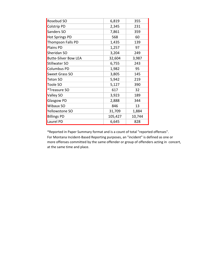| Rosebud SO                  | 6,819   | 355    |
|-----------------------------|---------|--------|
| <b>Colstrip PD</b>          | 2,345   | 231    |
| Sanders SO                  | 7,861   | 359    |
| <b>Hot Springs PD</b>       | 568     | 60     |
| <b>Thompson Falls PD</b>    | 1,435   | 139    |
| Plains PD                   | 1,257   | 97     |
| Sheridan SO                 | 3,204   | 249    |
| <b>Butte-Silver Bow LEA</b> | 32,604  | 3,987  |
| Stillwater SO               | 6,755   | 243    |
| <b>Columbus PD</b>          | 1,982   | 95     |
| <b>Sweet Grass SO</b>       | 3,805   | 145    |
| Teton SO                    | 5,942   | 219    |
| Toole SO                    | 5,127   | 390    |
| *Treasure SO                | 617     | 32     |
| Valley SO                   | 3,923   | 189    |
| <b>Glasgow PD</b>           | 2,888   | 344    |
| Wibaux SO                   | 846     | 13     |
| Yellowstone SO              | 31,709  | 1,884  |
| <b>Billings PD</b>          | 105,427 | 10,744 |
| Laurel PD                   | 6,645   | 828    |

\*Reported in Paper Summary format and is a count of total "reported offenses". For Montana Incident‐Based Reporting purposes, an "incident" is defined as one or more offenses committed by the same offender or group of offenders acting in concert, at the same time and place.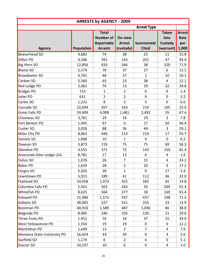| <b>ARRESTS by AGENCY - 2009</b> |                   |                                                                  |                                       |                           |                                              |                                       |  |
|---------------------------------|-------------------|------------------------------------------------------------------|---------------------------------------|---------------------------|----------------------------------------------|---------------------------------------|--|
|                                 |                   |                                                                  |                                       | <b>Arrest Type</b>        |                                              |                                       |  |
| <b>Agency</b>                   | <b>Population</b> | <b>Total</b><br><b>Number of</b><br>Reportable<br><b>Arrests</b> | On view<br><b>Arrest</b><br>(custody) | Summoned/<br><b>Cited</b> | <b>Taken</b><br>Into<br>Custody<br>(warrant) | <b>Arrest</b><br>Rate<br>per<br>1,000 |  |
| <b>Beaverhead SO</b>            | 4,682             | 74                                                               | 38                                    | 25                        | 11                                           | 15.8                                  |  |
| <b>Dillon PD</b>                | 4,186             | 391                                                              | 143                                   | 201                       | 47                                           | 93.4                                  |  |
| Big Horn SO                     | 12,856            | 924                                                              | 566                                   | 38                        | 320                                          | 71.9                                  |  |
| <b>Blaine SO</b>                | 5,174             | 70                                                               | 37                                    | 27                        | 6                                            | 13.5                                  |  |
| <b>Broadwater SO</b>            | 4,741             | 48                                                               | 37                                    | $\mathbf{1}$              | 10                                           | 10.1                                  |  |
| Carbon SO                       | 5,360             | 65                                                               | 23                                    | 38                        | 4                                            | 12.1                                  |  |
| <b>Red Lodge PD</b>             | 2,481             | 74                                                               | 13                                    | 29                        | 32                                           | 29.8                                  |  |
| <b>Bridger PD</b>               | 723               | $\mathbf{1}$                                                     | $\mathbf{1}$                          | $\mathbf 0$               | $\mathbf 0$                                  | 1.4                                   |  |
| Joliet PD                       | 631               | $\overline{2}$                                                   | $\overline{2}$                        | $\mathbf 0$               | $\mathbf 0$                                  | 3.2                                   |  |
| Carter SO                       | 1,221             | 8                                                                | 3                                     | 5                         | $\mathbf 0$                                  | 6.6                                   |  |
| Cascade SO                      | 22,694            | 567                                                              | 243                                   | 219                       | 105                                          | 25.0                                  |  |
| Great Falls PD                  | 59,499            | 4,008                                                            | 1,481                                 | 2,492                     | 35                                           | 67.4                                  |  |
| Chouteau SO                     | 3,701             | 29                                                               | 16                                    | 10                        | 3                                            | 7.8                                   |  |
| Fort Benton PD                  | 1,445             | 67                                                               | $\overline{0}$                        | 17                        | 50                                           | 46.4                                  |  |
| <b>Custer SO</b>                | 3,026             | 88                                                               | 36                                    | 49                        | 3                                            | 29.1                                  |  |
| Miles City PD                   | 8,062             | 449                                                              | 213                                   | 219                       | 17                                           | 55.7                                  |  |
| Daniels SO                      | 1,606             | 10                                                               | $\mathbf{1}$                          | 9                         | 0                                            | 6.2                                   |  |
| Dawson SO                       | 3,873             | 219                                                              | 75                                    | 75                        | 69                                           | 56.5                                  |  |
| Glendive PD                     | 4,555             | 371                                                              | 72                                    | 143                       | 156                                          | 81.4                                  |  |
| Anaconda-Deer Lodge LEA         | 8,781             | 17                                                               | 13                                    | $\mathbf 0$               | 4                                            | 1.9                                   |  |
| Fallon SO                       | 1,076             | 26                                                               | $\overline{7}$                        | 15                        | 4                                            | 24.2                                  |  |
| <b>Baker PD</b>                 | 1,629             | 28                                                               | 5                                     | 20                        | 3                                            | 17.2                                  |  |
| Fergus SO                       | 5,202             | 28                                                               | $\mathbf{1}$                          | $\mathbf 0$               | 27                                           | 5.4                                   |  |
| Lewistown PD                    | 5,915             | 189                                                              | 41                                    | 112                       | 36                                           | 32.0                                  |  |
| Flathead SO                     | 54,058            | 1,073                                                            | 425                                   | 583                       | 65                                           | 19.8                                  |  |
| Columbia Falls PD               | 5,441             | 503                                                              | 263                                   | 35                        | 205                                          | 92.4                                  |  |
| Whitefish PD                    | 8,625             | 564                                                              | 377                                   | 18                        | 169                                          | 65.4                                  |  |
| Kalispell PD                    | 21,986            | 1,572                                                            | 937                                   | 437                       | 198                                          | 71.5                                  |  |
| Gallatin SO                     | 38,005            | 527                                                              | 251                                   | 253                       | 23                                           | 13.9                                  |  |
| <b>Bozeman PD</b>               | 40,910            | 1,589                                                            | 487                                   | 1,036                     | 66                                           | 38.8                                  |  |
| Belgrade PD                     | 8,485             | 246                                                              | 105                                   | 120                       | 21                                           | 29.0                                  |  |
| Three Forks PD                  | 1,951             | 76                                                               | 24                                    | 37                        | 15                                           | 39.0                                  |  |
| West Yellowstone PD             | 1,554             | 19                                                               | 19                                    | $\mathbf 0$               | 0                                            | 12.2                                  |  |
| Manhattan PD                    | 1,649             | 13                                                               | $\overline{2}$                        | $\overline{7}$            | 4                                            | 7.9                                   |  |
| Montana State Universtiy PD     | 16,424            | 43                                                               | 39                                    | $\pmb{0}$                 | 4                                            | 2.6                                   |  |
| Garfield SO                     | 1,174             | 6                                                                | $\overline{2}$                        | 4                         | 0                                            | 5.1                                   |  |
| Glacier SO                      | 10,197            | 10                                                               | 6                                     | 0                         | 4                                            | 1.0                                   |  |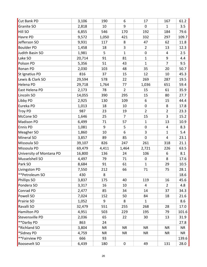| Cut Bank PD              | 3,106  | 190       | 6              | 17               | 167              | 61.2      |
|--------------------------|--------|-----------|----------------|------------------|------------------|-----------|
| Granite SO               | 2,818  | 10        | 9              | $\mathbf 0$      | $\mathbf{1}$     | 3.5       |
| <b>Hill SO</b>           | 6,855  | 546       | 170            | 192              | 184              | 79.6      |
| Havre PD                 | 9,572  | 1,050     | 421            | 332              | 297              | 109.7     |
| Jefferson SO             | 9,931  | 117       | 8              | 47               | 62               | 11.8      |
| <b>Boulder PD</b>        | 1,458  | 18        | 3              | $\overline{2}$   | 13               | 12.3      |
| Judith Basin SO          | 1,981  | 5         | $\mathbf{1}$   | $\pmb{0}$        | 4                | 2.5       |
| Lake SO                  | 20,714 | 91        | 81             | $\mathbf{1}$     | $\boldsymbol{9}$ | 4.4       |
| Polson PD                | 5,356  | 51        | 43             | $\mathbf{1}$     | $\overline{7}$   | 9.5       |
| <b>Ronan PD</b>          | 2,030  | 103       | 48             | 35               | 20               | 50.7      |
| St Ignatius PD           | 816    | 37        | 15             | 12               | 10               | 45.3      |
| Lewis & Clark SO         | 29,594 | 578       | 22             | 269              | 287              | 19.5      |
| Helena PD                | 29,718 | 1,764     | 77             | 1,036            | 651              | 59.4      |
| East Helena PD           | 2,173  | 78        | $\overline{2}$ | 15               | 61               | 35.9      |
| Lincoln SO               | 14,055 | 390       | 295            | 15               | 80               | 27.7      |
| Libby PD                 | 2,925  | 130       | 109            | 6                | 15               | 44.4      |
| Eureka PD                | 1,013  | 18        | 10             | $\pmb{0}$        | 8                | 17.8      |
| <b>Troy PD</b>           | 987    | 23        | 19             | $\overline{2}$   | $\overline{2}$   | 23.3      |
| McCone SO                | 1,646  | 25        | $\overline{7}$ | 15               | 3                | 15.2      |
| <b>Madison PD</b>        | 6,499  | 71        | 57             | $\mathbf{1}$     | 13               | 10.9      |
| <b>Ennis PD</b>          | 1,081  | 9         | 5              | $\boldsymbol{0}$ | $\overline{4}$   | 8.3       |
| Meagher SO               | 1,860  | 10        | 6              | 3                | $\mathbf{1}$     | 5.4       |
| Mineral SO               | 3,857  | 89        | 85             | $\mathbf 0$      | 4                | 23.1      |
| Missoula SO              | 39,107 | 826       | 247            | 261              | 318              | 21.1      |
| Missoula PD              | 69,479 | 4,411     | 1,464          | 2,721            | 226              | 63.5      |
| University of Montana PD | 16,800 | 136       | 24             | 106              | 6                | 8.1       |
| Musselshell SO           | 4,497  | 79        | 71             | $\pmb{0}$        | 8                | 17.6      |
| Park SO                  | 8,684  | 91        | 61             | $\mathbf{1}$     | 29               | 10.5      |
| Livingston PD            | 7,550  | 212       | 66             | 71               | 75               | 28.1      |
| **Petroleum SO           | 430    | 8         |                |                  |                  | 18.6      |
| Phillips SO              | 3,837  | 175       | 40             | 119              | 16               | 45.6      |
| Pondera SO               | 3,317  | 16        | 10             | 4                | $\overline{2}$   | 4.8       |
| Conrad PD                | 2,477  | 85        | 34             | 14               | 37               | 34.3      |
| Powell SO                | 7,024  | 152       | 50             | 84               | 18               | 21.6      |
| Prairie SO               | 1,052  | 9         | 8              | $\mathbf{1}$     |                  | 8.6       |
| Ravalli SO               | 32,479 | 551       | 255            | 268              | 28               | 17.0      |
| Hamilton PD              | 4,951  | 503       | 229            | 195              | 79               | 101.6     |
| Stevensville PD          | 2,036  | 65        | 22             | 30               | 13               | 31.9      |
| **Darby PD               | 863    | 24        |                |                  |                  | 27.8      |
| *Richland SO             | 3,804  | <b>NR</b> | <b>NR</b>      | <b>NR</b>        | <b>NR</b>        | <b>NR</b> |
| *Sidney PD               | 4,759  | <b>NR</b> | <b>NR</b>      | <b>NR</b>        | <b>NR</b>        | <b>NR</b> |
| **Fairview PD            | 666    | 93        |                |                  |                  | 139.6     |
| <b>Roosevelt SO</b>      | 6,439  | 180       | $\pmb{0}$      | 49               | 131              | 28.0      |